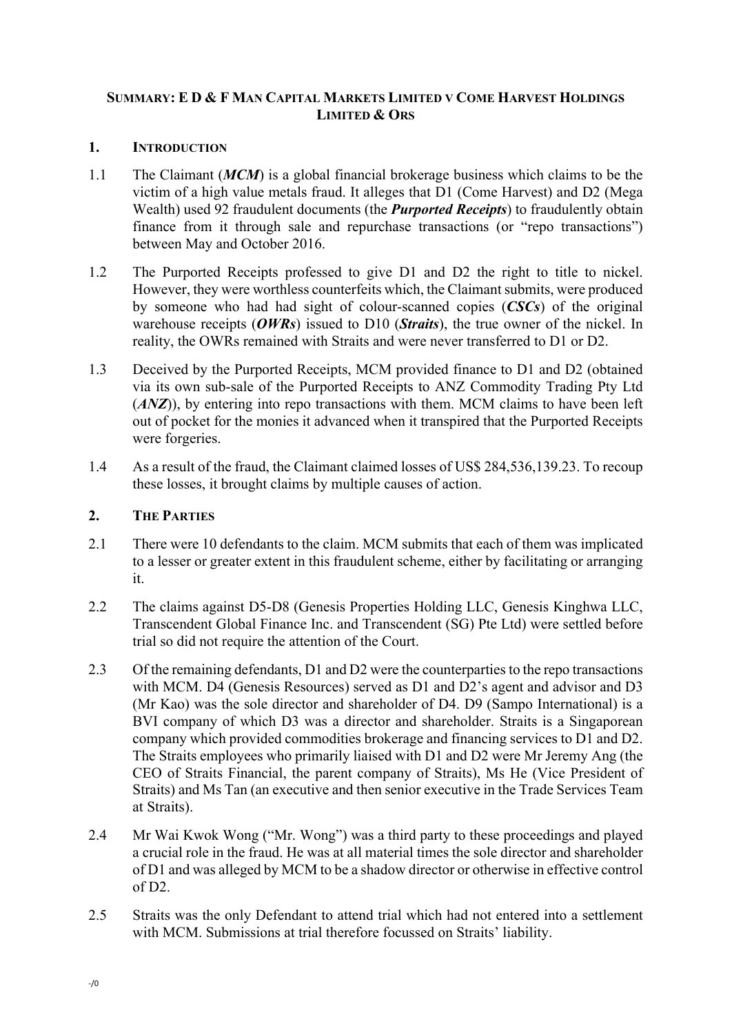# **SUMMARY: E D & F MAN CAPITAL MARKETS LIMITED V COME HARVEST HOLDINGS LIMITED & ORS**

### **1. INTRODUCTION**

- 1.1 The Claimant (*MCM*) is a global financial brokerage business which claims to be the victim of a high value metals fraud. It alleges that D1 (Come Harvest) and D2 (Mega Wealth) used 92 fraudulent documents (the *Purported Receipts*) to fraudulently obtain finance from it through sale and repurchase transactions (or "repo transactions") between May and October 2016.
- 1.2 The Purported Receipts professed to give D1 and D2 the right to title to nickel. However, they were worthless counterfeits which, the Claimant submits, were produced by someone who had had sight of colour-scanned copies (*CSCs*) of the original warehouse receipts (*OWRs*) issued to D10 (*Straits*), the true owner of the nickel. In reality, the OWRs remained with Straits and were never transferred to D1 or D2.
- 1.3 Deceived by the Purported Receipts, MCM provided finance to D1 and D2 (obtained via its own sub-sale of the Purported Receipts to ANZ Commodity Trading Pty Ltd (*ANZ*)), by entering into repo transactions with them. MCM claims to have been left out of pocket for the monies it advanced when it transpired that the Purported Receipts were forgeries.
- 1.4 As a result of the fraud, the Claimant claimed losses of US\$ 284,536,139.23. To recoup these losses, it brought claims by multiple causes of action.

### **2. THE PARTIES**

- 2.1 There were 10 defendants to the claim. MCM submits that each of them was implicated to a lesser or greater extent in this fraudulent scheme, either by facilitating or arranging it.
- 2.2 The claims against D5-D8 (Genesis Properties Holding LLC, Genesis Kinghwa LLC, Transcendent Global Finance Inc. and Transcendent (SG) Pte Ltd) were settled before trial so did not require the attention of the Court.
- 2.3 Of the remaining defendants, D1 and D2 were the counterparties to the repo transactions with MCM. D4 (Genesis Resources) served as D1 and D2's agent and advisor and D3 (Mr Kao) was the sole director and shareholder of D4. D9 (Sampo International) is a BVI company of which D3 was a director and shareholder. Straits is a Singaporean company which provided commodities brokerage and financing services to D1 and D2. The Straits employees who primarily liaised with D1 and D2 were Mr Jeremy Ang (the CEO of Straits Financial, the parent company of Straits), Ms He (Vice President of Straits) and Ms Tan (an executive and then senior executive in the Trade Services Team at Straits).
- 2.4 Mr Wai Kwok Wong ("Mr. Wong") was a third party to these proceedings and played a crucial role in the fraud. He was at all material times the sole director and shareholder of D1 and was alleged by MCM to be a shadow director or otherwise in effective control of D2.
- 2.5 Straits was the only Defendant to attend trial which had not entered into a settlement with MCM. Submissions at trial therefore focussed on Straits' liability.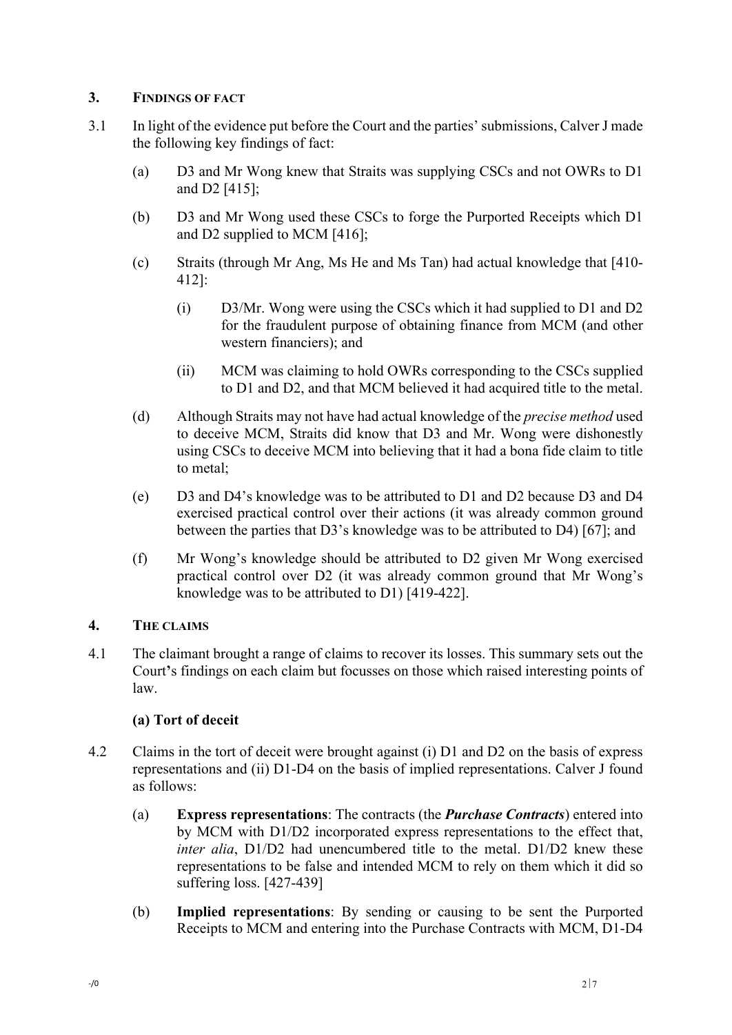# **3. FINDINGS OF FACT**

- 3.1 In light of the evidence put before the Court and the parties' submissions, Calver J made the following key findings of fact:
	- (a) D3 and Mr Wong knew that Straits was supplying CSCs and not OWRs to D1 and D2 [415];
	- (b) D3 and Mr Wong used these CSCs to forge the Purported Receipts which D1 and D2 supplied to MCM [416];
	- (c) Straits (through Mr Ang, Ms He and Ms Tan) had actual knowledge that [410- 412]:
		- (i) D3/Mr. Wong were using the CSCs which it had supplied to D1 and D2 for the fraudulent purpose of obtaining finance from MCM (and other western financiers); and
		- (ii) MCM was claiming to hold OWRs corresponding to the CSCs supplied to D1 and D2, and that MCM believed it had acquired title to the metal.
	- (d) Although Straits may not have had actual knowledge of the *precise method* used to deceive MCM, Straits did know that D3 and Mr. Wong were dishonestly using CSCs to deceive MCM into believing that it had a bona fide claim to title to metal;
	- (e) D3 and D4's knowledge was to be attributed to D1 and D2 because D3 and D4 exercised practical control over their actions (it was already common ground between the parties that D3's knowledge was to be attributed to D4) [67]; and
	- (f) Mr Wong's knowledge should be attributed to D2 given Mr Wong exercised practical control over D2 (it was already common ground that Mr Wong's knowledge was to be attributed to D1) [419-422].

# **4. THE CLAIMS**

4.1 The claimant brought a range of claims to recover its losses. This summary sets out the Court**'**s findings on each claim but focusses on those which raised interesting points of law.

# **(a) Tort of deceit**

- 4.2 Claims in the tort of deceit were brought against (i) D1 and D2 on the basis of express representations and (ii) D1-D4 on the basis of implied representations. Calver J found as follows:
	- (a) **Express representations**: The contracts (the *Purchase Contracts*) entered into by MCM with D1/D2 incorporated express representations to the effect that, *inter alia*, D1/D2 had unencumbered title to the metal. D1/D2 knew these representations to be false and intended MCM to rely on them which it did so suffering loss. [427-439]
	- (b) **Implied representations**: By sending or causing to be sent the Purported Receipts to MCM and entering into the Purchase Contracts with MCM, D1-D4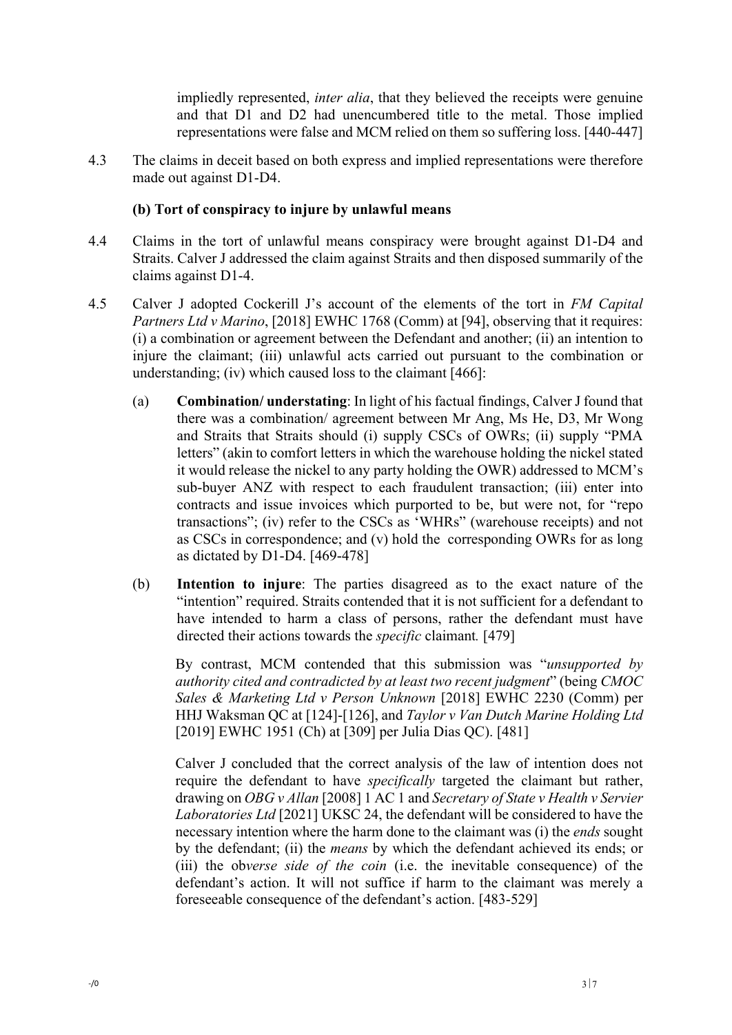impliedly represented, *inter alia*, that they believed the receipts were genuine and that D1 and D2 had unencumbered title to the metal. Those implied representations were false and MCM relied on them so suffering loss. [440-447]

4.3 The claims in deceit based on both express and implied representations were therefore made out against D1-D4.

### **(b) Tort of conspiracy to injure by unlawful means**

- 4.4 Claims in the tort of unlawful means conspiracy were brought against D1-D4 and Straits. Calver J addressed the claim against Straits and then disposed summarily of the claims against D1-4.
- 4.5 Calver J adopted Cockerill J's account of the elements of the tort in *FM Capital Partners Ltd v Marino*, [2018] EWHC 1768 (Comm) at [94], observing that it requires: (i) a combination or agreement between the Defendant and another; (ii) an intention to injure the claimant; (iii) unlawful acts carried out pursuant to the combination or understanding; (iv) which caused loss to the claimant [466]:
	- (a) **Combination/ understating**: In light of his factual findings, Calver J found that there was a combination/ agreement between Mr Ang, Ms He, D3, Mr Wong and Straits that Straits should (i) supply CSCs of OWRs; (ii) supply "PMA letters" (akin to comfort letters in which the warehouse holding the nickel stated it would release the nickel to any party holding the OWR) addressed to MCM's sub-buyer ANZ with respect to each fraudulent transaction; (iii) enter into contracts and issue invoices which purported to be, but were not, for "repo transactions"; (iv) refer to the CSCs as 'WHRs" (warehouse receipts) and not as CSCs in correspondence; and (v) hold the corresponding OWRs for as long as dictated by D1-D4. [469-478]
	- (b) **Intention to injure**: The parties disagreed as to the exact nature of the "intention" required. Straits contended that it is not sufficient for a defendant to have intended to harm a class of persons, rather the defendant must have directed their actions towards the *specific* claimant*.* [479]

By contrast, MCM contended that this submission was "*unsupported by authority cited and contradicted by at least two recent judgment*" (being *CMOC Sales & Marketing Ltd v Person Unknown* [2018] EWHC 2230 (Comm) per HHJ Waksman QC at [124]-[126], and *Taylor v Van Dutch Marine Holding Ltd* [2019] EWHC 1951 (Ch) at [309] per Julia Dias QC). [481]

Calver J concluded that the correct analysis of the law of intention does not require the defendant to have *specifically* targeted the claimant but rather, drawing on *OBG v Allan* [2008] 1 AC 1 and *Secretary of State v Health v Servier Laboratories Ltd* [2021] UKSC 24, the defendant will be considered to have the necessary intention where the harm done to the claimant was (i) the *ends* sought by the defendant; (ii) the *means* by which the defendant achieved its ends; or (iii) the ob*verse side of the coin* (i.e. the inevitable consequence) of the defendant's action. It will not suffice if harm to the claimant was merely a foreseeable consequence of the defendant's action. [483-529]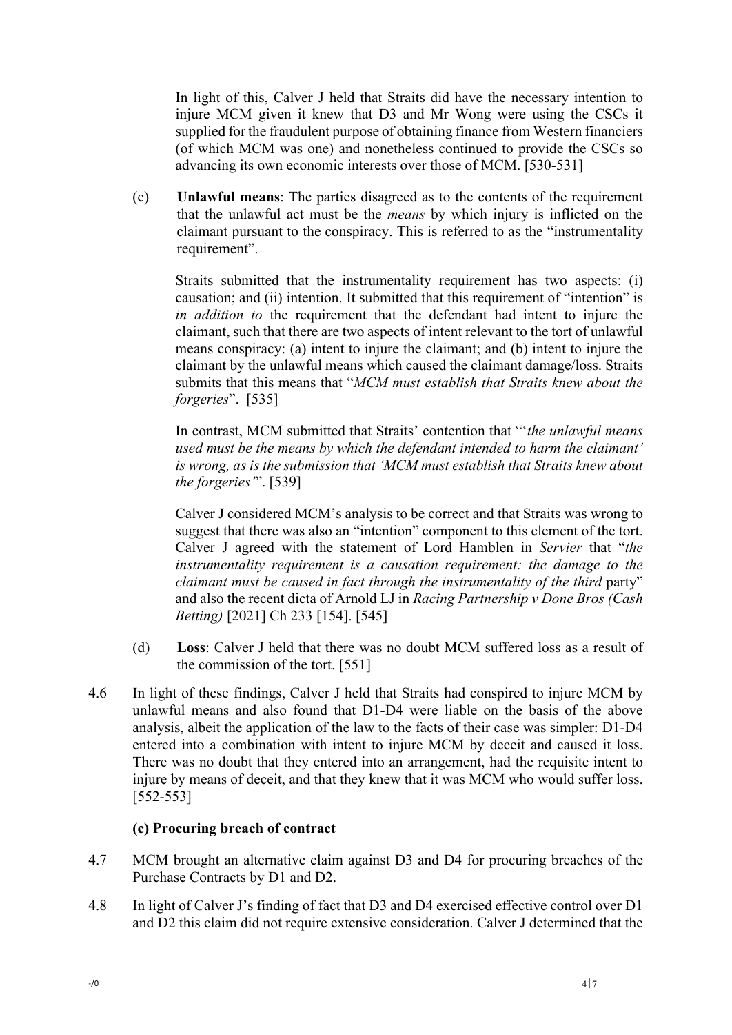In light of this, Calver J held that Straits did have the necessary intention to injure MCM given it knew that D3 and Mr Wong were using the CSCs it supplied for the fraudulent purpose of obtaining finance from Western financiers (of which MCM was one) and nonetheless continued to provide the CSCs so advancing its own economic interests over those of MCM. [530-531]

(c) **Unlawful means**: The parties disagreed as to the contents of the requirement that the unlawful act must be the *means* by which injury is inflicted on the claimant pursuant to the conspiracy. This is referred to as the "instrumentality requirement".

Straits submitted that the instrumentality requirement has two aspects: (i) causation; and (ii) intention. It submitted that this requirement of "intention" is *in addition to* the requirement that the defendant had intent to injure the claimant, such that there are two aspects of intent relevant to the tort of unlawful means conspiracy: (a) intent to injure the claimant; and (b) intent to injure the claimant by the unlawful means which caused the claimant damage/loss. Straits submits that this means that "*MCM must establish that Straits knew about the forgeries*". [535]

In contrast, MCM submitted that Straits' contention that "'*the unlawful means used must be the means by which the defendant intended to harm the claimant' is wrong, as is the submission that 'MCM must establish that Straits knew about the forgeries'*". [539]

Calver J considered MCM's analysis to be correct and that Straits was wrong to suggest that there was also an "intention" component to this element of the tort. Calver J agreed with the statement of Lord Hamblen in *Servier* that "*the instrumentality requirement is a causation requirement: the damage to the claimant must be caused in fact through the instrumentality of the third party*" and also the recent dicta of Arnold LJ in *Racing Partnership v Done Bros (Cash Betting)* [2021] Ch 233 [154]. [545]

- (d) **Loss**: Calver J held that there was no doubt MCM suffered loss as a result of the commission of the tort. [551]
- 4.6 In light of these findings, Calver J held that Straits had conspired to injure MCM by unlawful means and also found that D1-D4 were liable on the basis of the above analysis, albeit the application of the law to the facts of their case was simpler: D1-D4 entered into a combination with intent to injure MCM by deceit and caused it loss. There was no doubt that they entered into an arrangement, had the requisite intent to injure by means of deceit, and that they knew that it was MCM who would suffer loss. [552-553]

# **(c) Procuring breach of contract**

- 4.7 MCM brought an alternative claim against D3 and D4 for procuring breaches of the Purchase Contracts by D1 and D2.
- 4.8 In light of Calver J's finding of fact that D3 and D4 exercised effective control over D1 and D2 this claim did not require extensive consideration. Calver J determined that the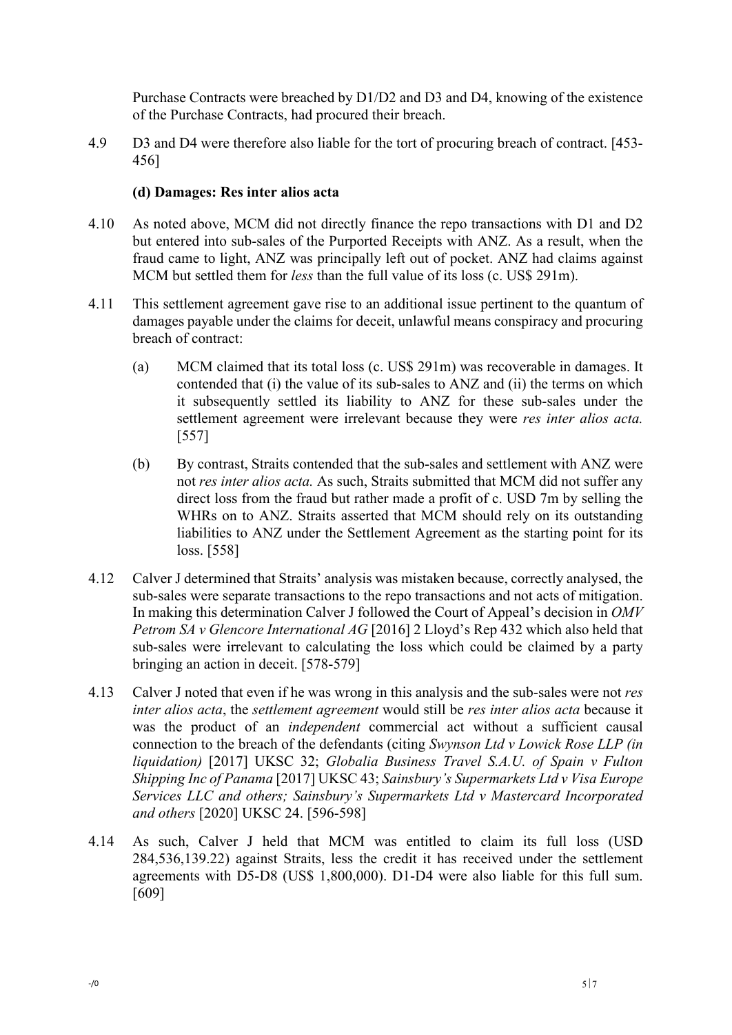Purchase Contracts were breached by D1/D2 and D3 and D4, knowing of the existence of the Purchase Contracts, had procured their breach.

4.9 D3 and D4 were therefore also liable for the tort of procuring breach of contract. [453- 456]

# **(d) Damages: Res inter alios acta**

- 4.10 As noted above, MCM did not directly finance the repo transactions with D1 and D2 but entered into sub-sales of the Purported Receipts with ANZ. As a result, when the fraud came to light, ANZ was principally left out of pocket. ANZ had claims against MCM but settled them for *less* than the full value of its loss (c. US\$ 291m).
- 4.11 This settlement agreement gave rise to an additional issue pertinent to the quantum of damages payable under the claims for deceit, unlawful means conspiracy and procuring breach of contract:
	- (a) MCM claimed that its total loss (c. US\$ 291m) was recoverable in damages. It contended that (i) the value of its sub-sales to ANZ and (ii) the terms on which it subsequently settled its liability to ANZ for these sub-sales under the settlement agreement were irrelevant because they were *res inter alios acta.*  [557]
	- (b) By contrast, Straits contended that the sub-sales and settlement with ANZ were not *res inter alios acta.* As such, Straits submitted that MCM did not suffer any direct loss from the fraud but rather made a profit of c. USD 7m by selling the WHRs on to ANZ. Straits asserted that MCM should rely on its outstanding liabilities to ANZ under the Settlement Agreement as the starting point for its loss. [558]
- 4.12 Calver J determined that Straits' analysis was mistaken because, correctly analysed, the sub-sales were separate transactions to the repo transactions and not acts of mitigation. In making this determination Calver J followed the Court of Appeal's decision in *OMV Petrom SA v Glencore International AG* [2016] 2 Lloyd's Rep 432 which also held that sub-sales were irrelevant to calculating the loss which could be claimed by a party bringing an action in deceit. [578-579]
- 4.13 Calver J noted that even if he was wrong in this analysis and the sub-sales were not *res inter alios acta*, the *settlement agreement* would still be *res inter alios acta* because it was the product of an *independent* commercial act without a sufficient causal connection to the breach of the defendants (citing *Swynson Ltd v Lowick Rose LLP (in liquidation)* [2017] UKSC 32; *Globalia Business Travel S.A.U. of Spain v Fulton Shipping Inc of Panama* [2017] UKSC 43; *Sainsbury's Supermarkets Ltd v Visa Europe Services LLC and others; Sainsbury's Supermarkets Ltd v Mastercard Incorporated and others* [2020] UKSC 24. [596-598]
- 4.14 As such, Calver J held that MCM was entitled to claim its full loss (USD 284,536,139.22) against Straits, less the credit it has received under the settlement agreements with D5-D8 (US\$ 1,800,000). D1-D4 were also liable for this full sum. [609]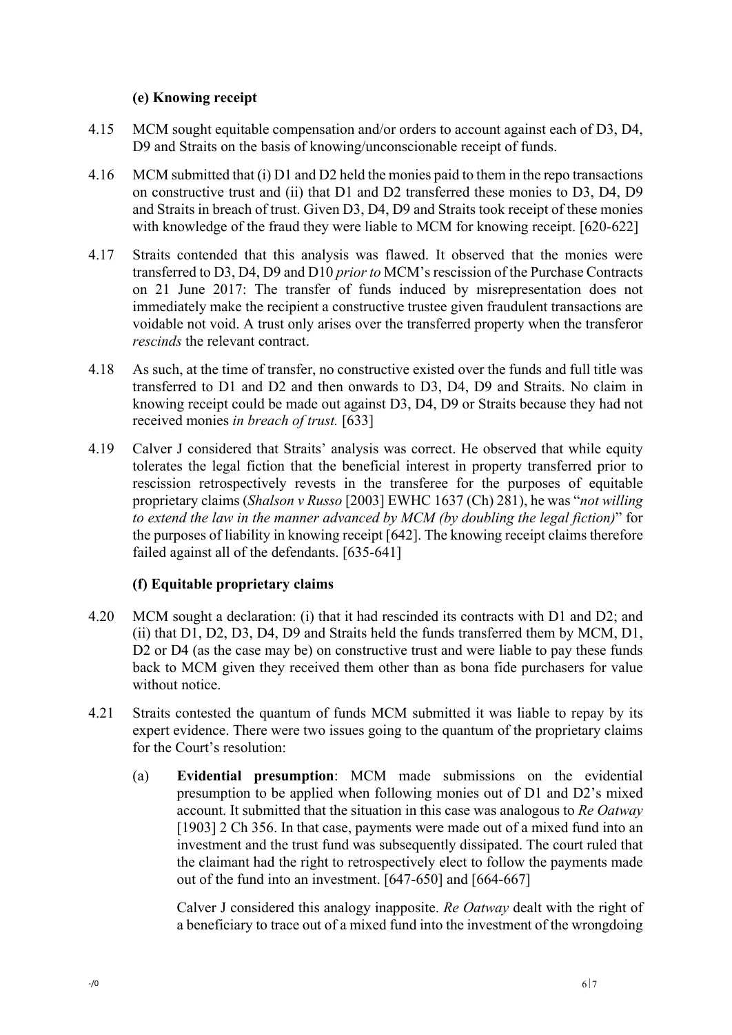# **(e) Knowing receipt**

- 4.15 MCM sought equitable compensation and/or orders to account against each of D3, D4, D9 and Straits on the basis of knowing/unconscionable receipt of funds.
- 4.16 MCM submitted that (i) D1 and D2 held the monies paid to them in the repo transactions on constructive trust and (ii) that D1 and D2 transferred these monies to D3, D4, D9 and Straits in breach of trust. Given D3, D4, D9 and Straits took receipt of these monies with knowledge of the fraud they were liable to MCM for knowing receipt. [620-622]
- 4.17 Straits contended that this analysis was flawed. It observed that the monies were transferred to D3, D4, D9 and D10 *prior to* MCM's rescission of the Purchase Contracts on 21 June 2017: The transfer of funds induced by misrepresentation does not immediately make the recipient a constructive trustee given fraudulent transactions are voidable not void. A trust only arises over the transferred property when the transferor *rescinds* the relevant contract.
- 4.18 As such, at the time of transfer, no constructive existed over the funds and full title was transferred to D1 and D2 and then onwards to D3, D4, D9 and Straits. No claim in knowing receipt could be made out against D3, D4, D9 or Straits because they had not received monies *in breach of trust.* [633]
- 4.19 Calver J considered that Straits' analysis was correct. He observed that while equity tolerates the legal fiction that the beneficial interest in property transferred prior to rescission retrospectively revests in the transferee for the purposes of equitable proprietary claims (*Shalson v Russo* [2003] EWHC 1637 (Ch) 281), he was "*not willing to extend the law in the manner advanced by MCM (by doubling the legal fiction)*" for the purposes of liability in knowing receipt [642]. The knowing receipt claims therefore failed against all of the defendants. [635-641]

# **(f) Equitable proprietary claims**

- 4.20 MCM sought a declaration: (i) that it had rescinded its contracts with D1 and D2; and (ii) that D1, D2, D3, D4, D9 and Straits held the funds transferred them by MCM, D1, D2 or D4 (as the case may be) on constructive trust and were liable to pay these funds back to MCM given they received them other than as bona fide purchasers for value without notice.
- 4.21 Straits contested the quantum of funds MCM submitted it was liable to repay by its expert evidence. There were two issues going to the quantum of the proprietary claims for the Court's resolution:
	- (a) **Evidential presumption**: MCM made submissions on the evidential presumption to be applied when following monies out of D1 and D2's mixed account. It submitted that the situation in this case was analogous to *Re Oatway*  [1903] 2 Ch 356. In that case, payments were made out of a mixed fund into an investment and the trust fund was subsequently dissipated. The court ruled that the claimant had the right to retrospectively elect to follow the payments made out of the fund into an investment. [647-650] and [664-667]

Calver J considered this analogy inapposite. *Re Oatway* dealt with the right of a beneficiary to trace out of a mixed fund into the investment of the wrongdoing